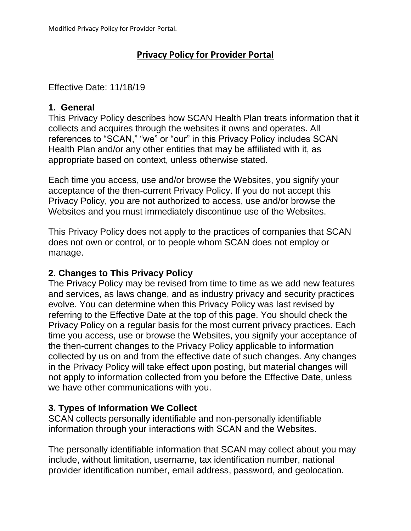# **Privacy Policy for Provider Portal**

## Effective Date: 11/18/19

## **1. General**

This Privacy Policy describes how SCAN Health Plan treats information that it collects and acquires through the websites it owns and operates. All references to "SCAN," "we" or "our" in this Privacy Policy includes SCAN Health Plan and/or any other entities that may be affiliated with it, as appropriate based on context, unless otherwise stated.

Each time you access, use and/or browse the Websites, you signify your acceptance of the then-current Privacy Policy. If you do not accept this Privacy Policy, you are not authorized to access, use and/or browse the Websites and you must immediately discontinue use of the Websites.

This Privacy Policy does not apply to the practices of companies that SCAN does not own or control, or to people whom SCAN does not employ or manage.

## **2. Changes to This Privacy Policy**

The Privacy Policy may be revised from time to time as we add new features and services, as laws change, and as industry privacy and security practices evolve. You can determine when this Privacy Policy was last revised by referring to the Effective Date at the top of this page. You should check the Privacy Policy on a regular basis for the most current privacy practices. Each time you access, use or browse the Websites, you signify your acceptance of the then-current changes to the Privacy Policy applicable to information collected by us on and from the effective date of such changes. Any changes in the Privacy Policy will take effect upon posting, but material changes will not apply to information collected from you before the Effective Date, unless we have other communications with you.

## **3. Types of Information We Collect**

SCAN collects personally identifiable and non-personally identifiable information through your interactions with SCAN and the Websites.

The personally identifiable information that SCAN may collect about you may include, without limitation, username, tax identification number, national provider identification number, email address, password, and geolocation.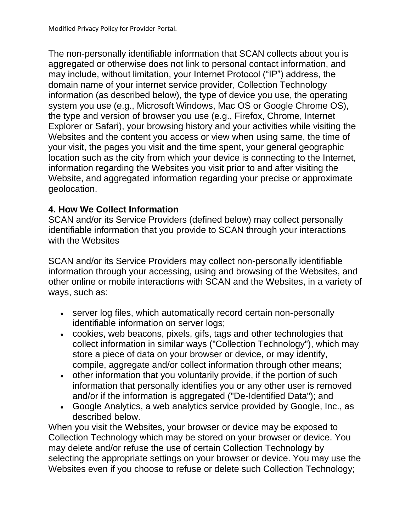The non-personally identifiable information that SCAN collects about you is aggregated or otherwise does not link to personal contact information, and may include, without limitation, your Internet Protocol ("IP") address, the domain name of your internet service provider, Collection Technology information (as described below), the type of device you use, the operating system you use (e.g., Microsoft Windows, Mac OS or Google Chrome OS), the type and version of browser you use (e.g., Firefox, Chrome, Internet Explorer or Safari), your browsing history and your activities while visiting the Websites and the content you access or view when using same, the time of your visit, the pages you visit and the time spent, your general geographic location such as the city from which your device is connecting to the Internet, information regarding the Websites you visit prior to and after visiting the Website, and aggregated information regarding your precise or approximate geolocation.

## **4. How We Collect Information**

SCAN and/or its Service Providers (defined below) may collect personally identifiable information that you provide to SCAN through your interactions with the Websites

SCAN and/or its Service Providers may collect non-personally identifiable information through your accessing, using and browsing of the Websites, and other online or mobile interactions with SCAN and the Websites, in a variety of ways, such as:

- server log files, which automatically record certain non-personally identifiable information on server logs;
- cookies, web beacons, pixels, gifs, tags and other technologies that collect information in similar ways ("Collection Technology"), which may store a piece of data on your browser or device, or may identify, compile, aggregate and/or collect information through other means;
- other information that you voluntarily provide, if the portion of such information that personally identifies you or any other user is removed and/or if the information is aggregated ("De-Identified Data"); and
- Google Analytics, a web analytics service provided by Google, Inc., as described below.

When you visit the Websites, your browser or device may be exposed to Collection Technology which may be stored on your browser or device. You may delete and/or refuse the use of certain Collection Technology by selecting the appropriate settings on your browser or device. You may use the Websites even if you choose to refuse or delete such Collection Technology;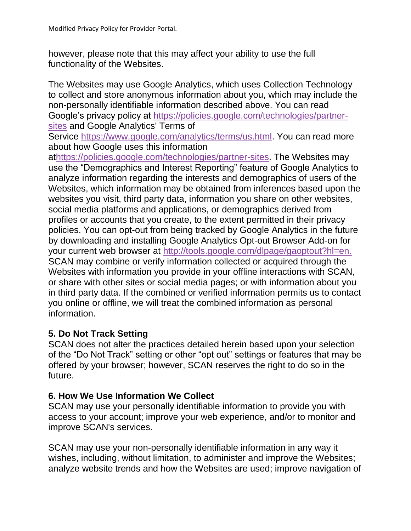however, please note that this may affect your ability to use the full functionality of the Websites.

The Websites may use Google Analytics, which uses Collection Technology to collect and store anonymous information about you, which may include the non-personally identifiable information described above. You can read Google's privacy policy at [https://policies.google.com/technologies/partner](https://policies.google.com/technologies/partner-sites)[sites](https://policies.google.com/technologies/partner-sites) and Google Analytics' Terms of

Service [https://www.google.com/analytics/terms/us.html.](https://www.google.com/analytics/terms/us.html) You can read more about how Google uses this information

a[thttps://policies.google.com/technologies/partner-sites.](https://policies.google.com/technologies/partner-sites) The Websites may use the "Demographics and Interest Reporting" feature of Google Analytics to analyze information regarding the interests and demographics of users of the Websites, which information may be obtained from inferences based upon the websites you visit, third party data, information you share on other websites, social media platforms and applications, or demographics derived from profiles or accounts that you create, to the extent permitted in their privacy policies. You can opt-out from being tracked by Google Analytics in the future by downloading and installing Google Analytics Opt-out Browser Add-on for your current web browser at <http://tools.google.com/dlpage/gaoptout?hl=en.> SCAN may combine or verify information collected or acquired through the Websites with information you provide in your offline interactions with SCAN, or share with other sites or social media pages; or with information about you in third party data. If the combined or verified information permits us to contact you online or offline, we will treat the combined information as personal information.

## **5. Do Not Track Setting**

SCAN does not alter the practices detailed herein based upon your selection of the "Do Not Track" setting or other "opt out" settings or features that may be offered by your browser; however, SCAN reserves the right to do so in the future.

#### **6. How We Use Information We Collect**

SCAN may use your personally identifiable information to provide you with access to your account; improve your web experience, and/or to monitor and improve SCAN's services.

SCAN may use your non-personally identifiable information in any way it wishes, including, without limitation, to administer and improve the Websites; analyze website trends and how the Websites are used; improve navigation of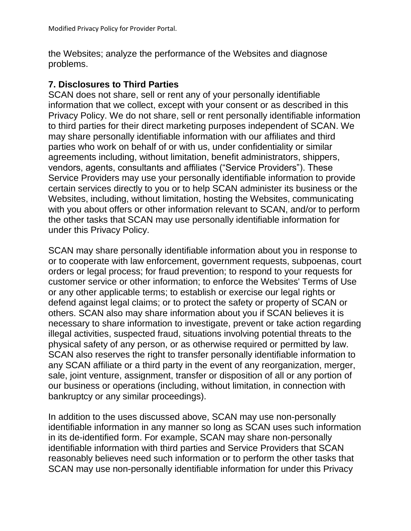the Websites; analyze the performance of the Websites and diagnose problems.

#### **7. Disclosures to Third Parties**

SCAN does not share, sell or rent any of your personally identifiable information that we collect, except with your consent or as described in this Privacy Policy. We do not share, sell or rent personally identifiable information to third parties for their direct marketing purposes independent of SCAN. We may share personally identifiable information with our affiliates and third parties who work on behalf of or with us, under confidentiality or similar agreements including, without limitation, benefit administrators, shippers, vendors, agents, consultants and affiliates ("Service Providers"). These Service Providers may use your personally identifiable information to provide certain services directly to you or to help SCAN administer its business or the Websites, including, without limitation, hosting the Websites, communicating with you about offers or other information relevant to SCAN, and/or to perform the other tasks that SCAN may use personally identifiable information for under this Privacy Policy.

SCAN may share personally identifiable information about you in response to or to cooperate with law enforcement, government requests, subpoenas, court orders or legal process; for fraud prevention; to respond to your requests for customer service or other information; to enforce the Websites' Terms of Use or any other applicable terms; to establish or exercise our legal rights or defend against legal claims; or to protect the safety or property of SCAN or others. SCAN also may share information about you if SCAN believes it is necessary to share information to investigate, prevent or take action regarding illegal activities, suspected fraud, situations involving potential threats to the physical safety of any person, or as otherwise required or permitted by law. SCAN also reserves the right to transfer personally identifiable information to any SCAN affiliate or a third party in the event of any reorganization, merger, sale, joint venture, assignment, transfer or disposition of all or any portion of our business or operations (including, without limitation, in connection with bankruptcy or any similar proceedings).

In addition to the uses discussed above, SCAN may use non-personally identifiable information in any manner so long as SCAN uses such information in its de-identified form. For example, SCAN may share non-personally identifiable information with third parties and Service Providers that SCAN reasonably believes need such information or to perform the other tasks that SCAN may use non-personally identifiable information for under this Privacy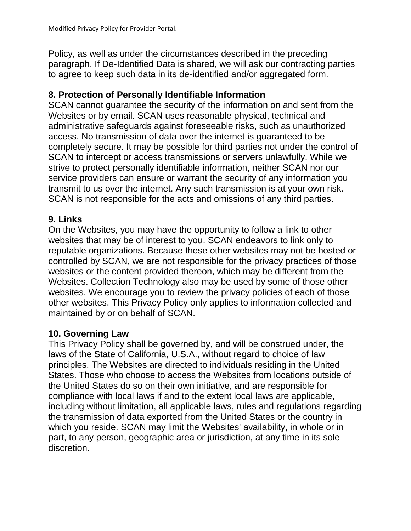Policy, as well as under the circumstances described in the preceding paragraph. If De-Identified Data is shared, we will ask our contracting parties to agree to keep such data in its de-identified and/or aggregated form.

## **8. Protection of Personally Identifiable Information**

SCAN cannot guarantee the security of the information on and sent from the Websites or by email. SCAN uses reasonable physical, technical and administrative safeguards against foreseeable risks, such as unauthorized access. No transmission of data over the internet is guaranteed to be completely secure. It may be possible for third parties not under the control of SCAN to intercept or access transmissions or servers unlawfully. While we strive to protect personally identifiable information, neither SCAN nor our service providers can ensure or warrant the security of any information you transmit to us over the internet. Any such transmission is at your own risk. SCAN is not responsible for the acts and omissions of any third parties.

## **9. Links**

On the Websites, you may have the opportunity to follow a link to other websites that may be of interest to you. SCAN endeavors to link only to reputable organizations. Because these other websites may not be hosted or controlled by SCAN, we are not responsible for the privacy practices of those websites or the content provided thereon, which may be different from the Websites. Collection Technology also may be used by some of those other websites. We encourage you to review the privacy policies of each of those other websites. This Privacy Policy only applies to information collected and maintained by or on behalf of SCAN.

## **10. Governing Law**

This Privacy Policy shall be governed by, and will be construed under, the laws of the State of California, U.S.A., without regard to choice of law principles. The Websites are directed to individuals residing in the United States. Those who choose to access the Websites from locations outside of the United States do so on their own initiative, and are responsible for compliance with local laws if and to the extent local laws are applicable, including without limitation, all applicable laws, rules and regulations regarding the transmission of data exported from the United States or the country in which you reside. SCAN may limit the Websites' availability, in whole or in part, to any person, geographic area or jurisdiction, at any time in its sole discretion.